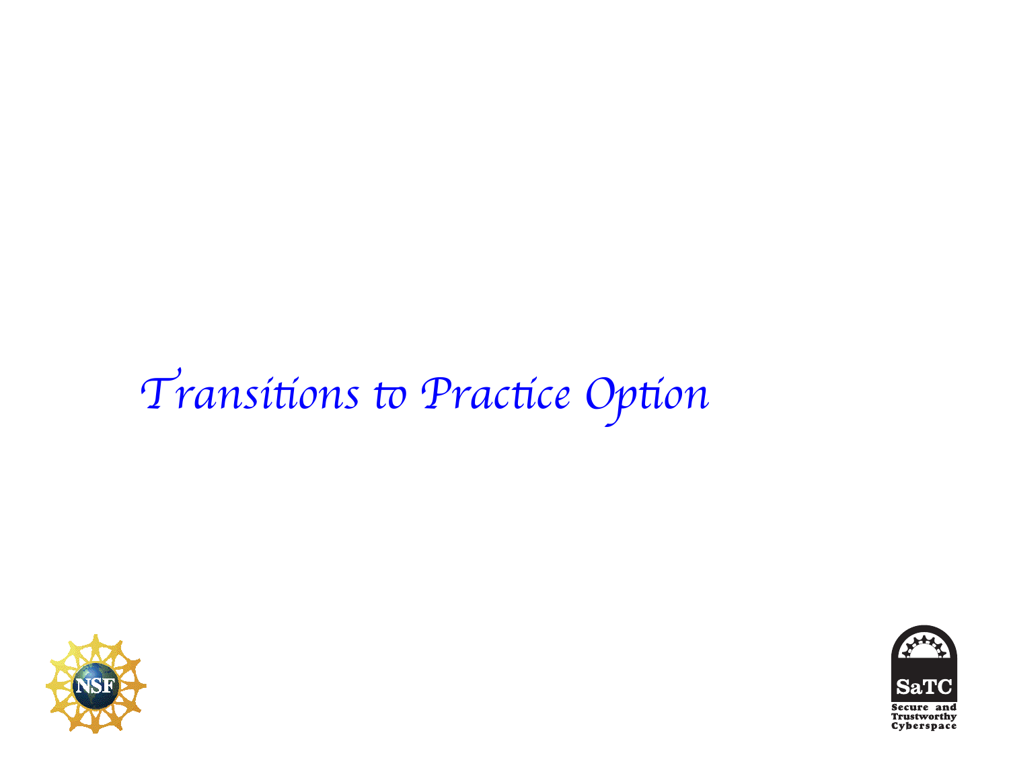## Transitions to Practice Option



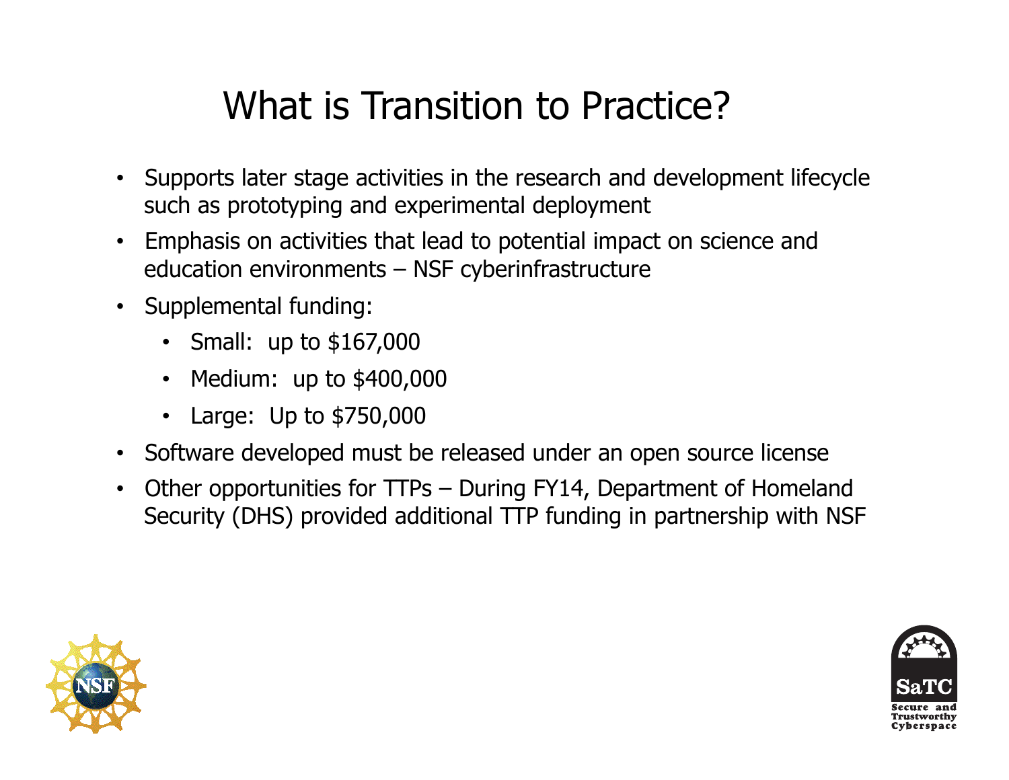## What is Transition to Practice?

- Supports later stage activities in the research and development lifecycle such as prototyping and experimental deployment
- Emphasis on activities that lead to potential impact on science and education environments – NSF cyberinfrastructure
- Supplemental funding:
	- Small: up to \$167,000
	- Medium: up to \$400,000
	- Large: Up to \$750,000
- Software developed must be released under an open source license
- Other opportunities for TTPs During FY14, Department of Homeland Security (DHS) provided additional TTP funding in partnership with NSF